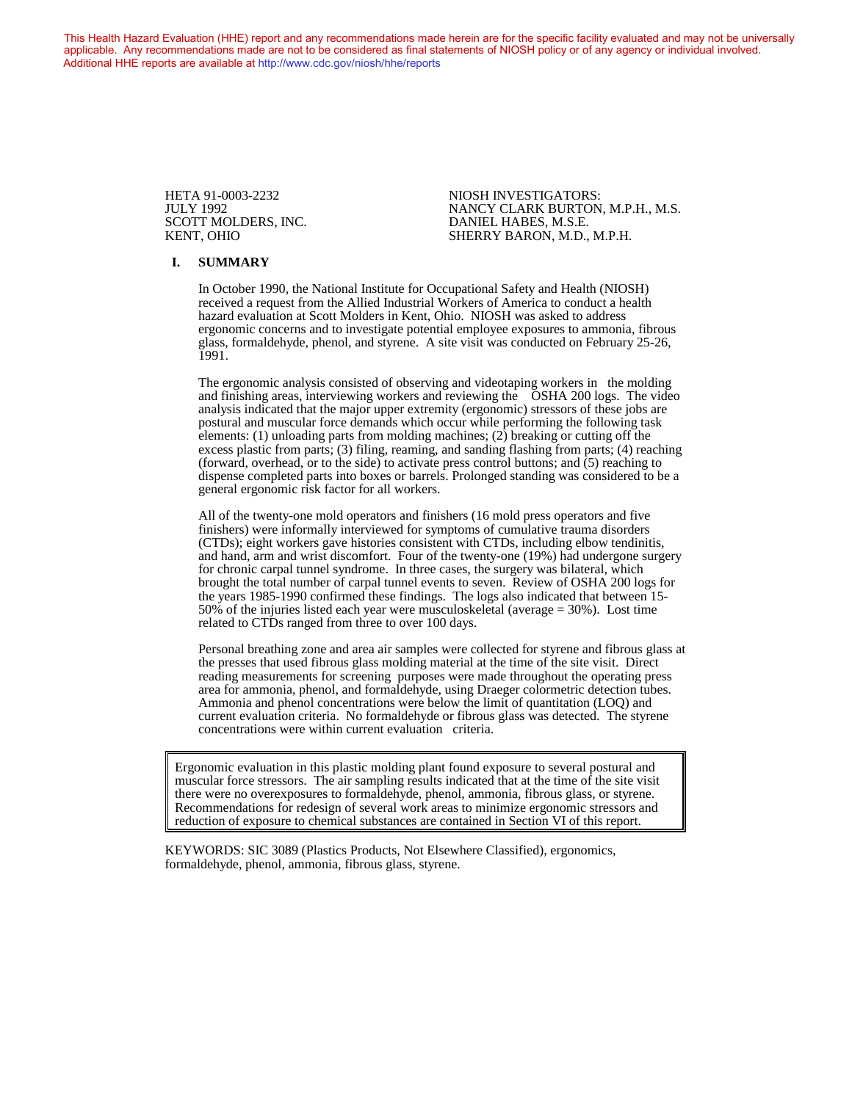This Health Hazard Evaluation (HHE) report and any recommendations made herein are for the specific facility evaluated and may not be universally applicable. Any recommendations made are not to be considered as final statements of NIOSH policy or of any agency or individual involved. Additional HHE reports are available at <http://www.cdc.gov/niosh/hhe/reports> Additional HHE reports are available at <http://www.cdc.gov/niosh/hhe/reports>

SCOTT MOLDERS, INC.<br>KENT, OHIO

HETA 91-0003-2232 NIOSH INVESTIGATORS: JULY 1992 NANCY CLARK BURTON, M.P.H., M.S. SHERRY BARON, M.D., M.P.H.

#### **I. SUMMARY**

In October 1990, the National Institute for Occupational Safety and Health (NIOSH) received a request from the Allied Industrial Workers of America to conduct a health hazard evaluation at Scott Molders in Kent, Ohio. NIOSH was asked to address ergonomic concerns and to investigate potential employee exposures to ammonia, fibrous glass, formaldehyde, phenol, and styrene. A site visit was conducted on February 25-26, 1991.

The ergonomic analysis consisted of observing and videotaping workers in the molding and finishing areas, interviewing workers and reviewing the OSHA 200 logs. The video analysis indicated that the major upper extremity (ergonomic) stressors of these jobs are postural and muscular force demands which occur while performing the following task elements: (1) unloading parts from molding machines; (2) breaking or cutting off the excess plastic from parts; (3) filing, reaming, and sanding flashing from parts; (4) reaching (forward, overhead, or to the side) to activate press control buttons; and  $(5)$  reaching to dispense completed parts into boxes or barrels. Prolonged standing was considered to be a general ergonomic risk factor for all workers.

All of the twenty-one mold operators and finishers (16 mold press operators and five finishers) were informally interviewed for symptoms of cumulative trauma disorders (CTDs); eight workers gave histories consistent with CTDs, including elbow tendinitis, and hand, arm and wrist discomfort. Four of the twenty-one (19%) had undergone surgery for chronic carpal tunnel syndrome. In three cases, the surgery was bilateral, which brought the total number of carpal tunnel events to seven. Review of OSHA 200 logs for the years 1985-1990 confirmed these findings. The logs also indicated that between 15- 50% of the injuries listed each year were musculoskeletal (average = 30%). Lost time related to CTDs ranged from three to over 100 days.

Personal breathing zone and area air samples were collected for styrene and fibrous glass at the presses that used fibrous glass molding material at the time of the site visit. Direct reading measurements for screening purposes were made throughout the operating press area for ammonia, phenol, and formaldehyde, using Draeger colormetric detection tubes. Ammonia and phenol concentrations were below the limit of quantitation (LOQ) and current evaluation criteria. No formaldehyde or fibrous glass was detected. The styrene concentrations were within current evaluation criteria.

Ergonomic evaluation in this plastic molding plant found exposure to several postural and muscular force stressors. The air sampling results indicated that at the time of the site visit there were no overexposures to formaldehyde, phenol, ammonia, fibrous glass, or styrene. Recommendations for redesign of several work areas to minimize ergonomic stressors and reduction of exposure to chemical substances are contained in Section VI of this report.

KEYWORDS: SIC 3089 (Plastics Products, Not Elsewhere Classified), ergonomics, formaldehyde, phenol, ammonia, fibrous glass, styrene.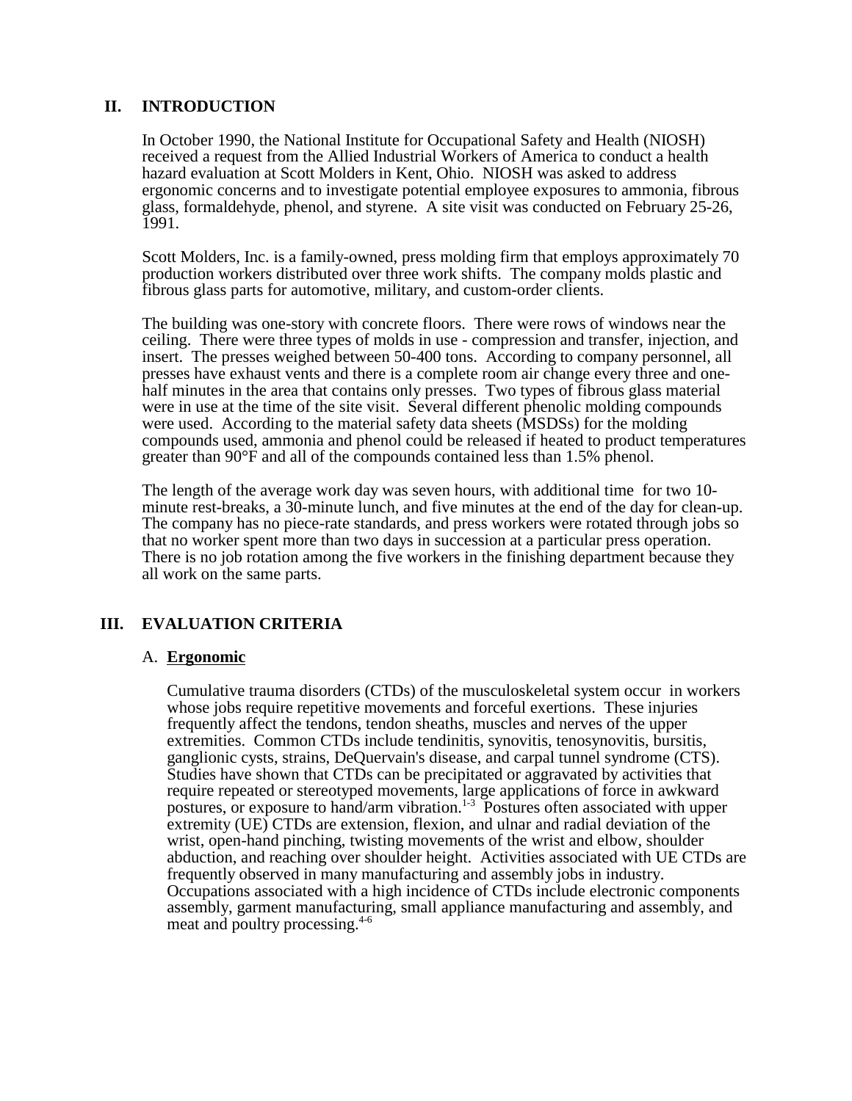## **II. INTRODUCTION**

In October 1990, the National Institute for Occupational Safety and Health (NIOSH) received a request from the Allied Industrial Workers of America to conduct a health hazard evaluation at Scott Molders in Kent, Ohio. NIOSH was asked to address ergonomic concerns and to investigate potential employee exposures to ammonia, fibrous glass, formaldehyde, phenol, and styrene. A site visit was conducted on February 25-26, 1991.

Scott Molders, Inc. is a family-owned, press molding firm that employs approximately 70 production workers distributed over three work shifts. The company molds plastic and fibrous glass parts for automotive, military, and custom-order clients.

The building was one-story with concrete floors. There were rows of windows near the ceiling. There were three types of molds in use - compression and transfer, injection, and insert. The presses weighed between 50-400 tons. According to company personnel, all presses have exhaust vents and there is a complete room air change every three and onehalf minutes in the area that contains only presses. Two types of fibrous glass material were in use at the time of the site visit. Several different phenolic molding compounds were used. According to the material safety data sheets (MSDSs) for the molding compounds used, ammonia and phenol could be released if heated to product temperatures greater than 90°F and all of the compounds contained less than 1.5% phenol.

The length of the average work day was seven hours, with additional time for two 10 minute rest-breaks, a 30-minute lunch, and five minutes at the end of the day for clean-up. The company has no piece-rate standards, and press workers were rotated through jobs so that no worker spent more than two days in succession at a particular press operation. There is no job rotation among the five workers in the finishing department because they all work on the same parts.

## **III. EVALUATION CRITERIA**

## A. **Ergonomic**

Cumulative trauma disorders (CTDs) of the musculoskeletal system occur in workers whose jobs require repetitive movements and forceful exertions. These injuries frequently affect the tendons, tendon sheaths, muscles and nerves of the upper extremities. Common CTDs include tendinitis, synovitis, tenosynovitis, bursitis, ganglionic cysts, strains, DeQuervain's disease, and carpal tunnel syndrome (CTS). Studies have shown that CTDs can be precipitated or aggravated by activities that require repeated or stereotyped movements, large applications of force in awkward postures, or exposure to hand/arm vibration.<sup>1-3</sup> Postures often associated with upper extremity (UE) CTDs are extension, flexion, and ulnar and radial deviation of the wrist, open-hand pinching, twisting movements of the wrist and elbow, shoulder abduction, and reaching over shoulder height. Activities associated with UE CTDs are frequently observed in many manufacturing and assembly jobs in industry. Occupations associated with a high incidence of CTDs include electronic components assembly, garment manufacturing, small appliance manufacturing and assembly, and meat and poultry processing.4-6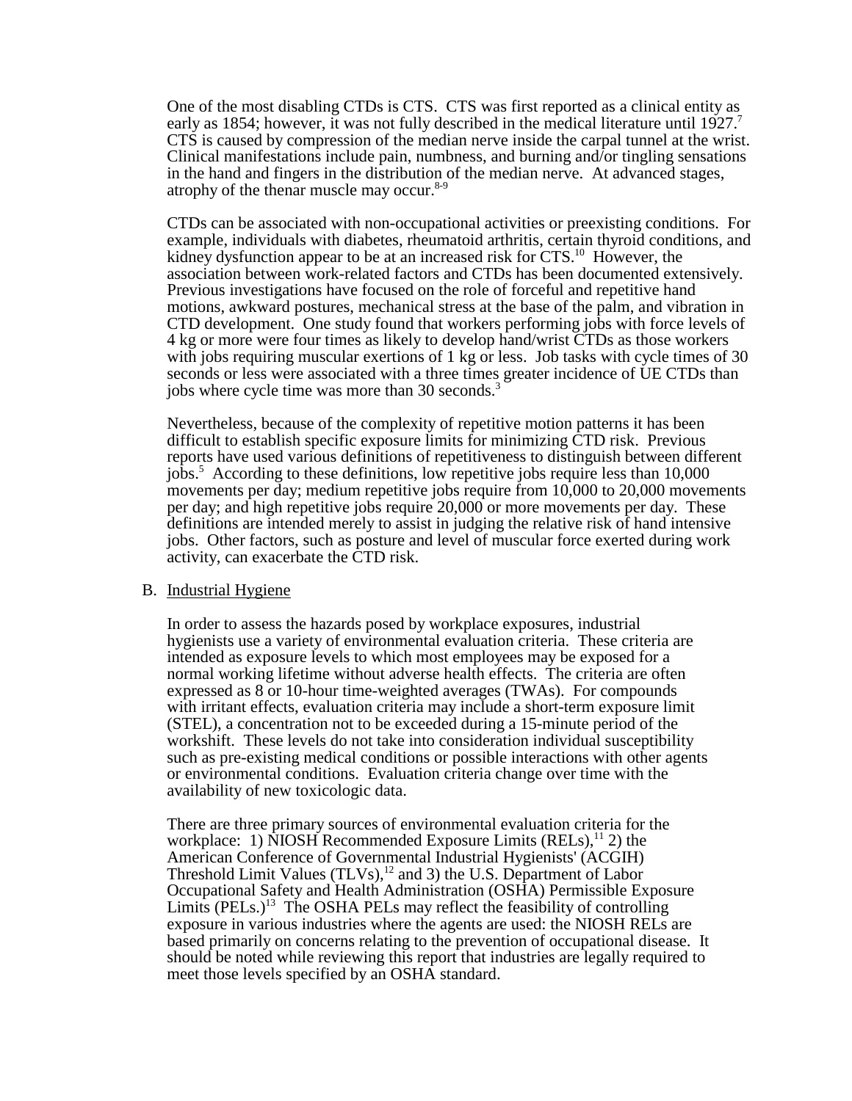One of the most disabling CTDs is CTS. CTS was first reported as a clinical entity as early as 1854; however, it was not fully described in the medical literature until 1927. CTS is caused by compression of the median nerve inside the carpal tunnel at the wrist. Clinical manifestations include pain, numbness, and burning and/or tingling sensations in the hand and fingers in the distribution of the median nerve. At advanced stages, atrophy of the thenar muscle may occur.<sup>8-9</sup>

CTDs can be associated with non-occupational activities or preexisting conditions. For example, individuals with diabetes, rheumatoid arthritis, certain thyroid conditions, and kidney dysfunction appear to be at an increased risk for CTS.<sup>10</sup> However, the association between work-related factors and CTDs has been documented extensively. Previous investigations have focused on the role of forceful and repetitive hand motions, awkward postures, mechanical stress at the base of the palm, and vibration in CTD development. One study found that workers performing jobs with force levels of 4 kg or more were four times as likely to develop hand/wrist CTDs as those workers with jobs requiring muscular exertions of 1 kg or less. Job tasks with cycle times of 30 seconds or less were associated with a three times greater incidence of UE CTDs than jobs where cycle time was more than 30 seconds.<sup>3</sup>

Nevertheless, because of the complexity of repetitive motion patterns it has been difficult to establish specific exposure limits for minimizing CTD risk. Previous reports have used various definitions of repetitiveness to distinguish between different jobs.5 According to these definitions, low repetitive jobs require less than 10,000 movements per day; medium repetitive jobs require from 10,000 to 20,000 movements per day; and high repetitive jobs require 20,000 or more movements per day. These definitions are intended merely to assist in judging the relative risk of hand intensive jobs. Other factors, such as posture and level of muscular force exerted during work activity, can exacerbate the CTD risk.

#### B. Industrial Hygiene

In order to assess the hazards posed by workplace exposures, industrial hygienists use a variety of environmental evaluation criteria. These criteria are intended as exposure levels to which most employees may be exposed for a normal working lifetime without adverse health effects. The criteria are often expressed as 8 or 10-hour time-weighted averages (TWAs). For compounds with irritant effects, evaluation criteria may include a short-term exposure limit (STEL), a concentration not to be exceeded during a 15-minute period of the workshift. These levels do not take into consideration individual susceptibility such as pre-existing medical conditions or possible interactions with other agents or environmental conditions. Evaluation criteria change over time with the availability of new toxicologic data.

There are three primary sources of environmental evaluation criteria for the workplace: 1) NIOSH Recommended Exposure Limits  $(RELs)$ ,<sup>11</sup> 2) the American Conference of Governmental Industrial Hygienists' (ACGIH) Threshold Limit Values (TLVs), $^{12}$  and 3) the U.S. Department of Labor Occupational Safety and Health Administration (OSHA) Permissible Exposure Limits  $(PELs.)^{13}$  The OSHA PELs may reflect the feasibility of controlling exposure in various industries where the agents are used: the NIOSH RELs are based primarily on concerns relating to the prevention of occupational disease. It should be noted while reviewing this report that industries are legally required to meet those levels specified by an OSHA standard.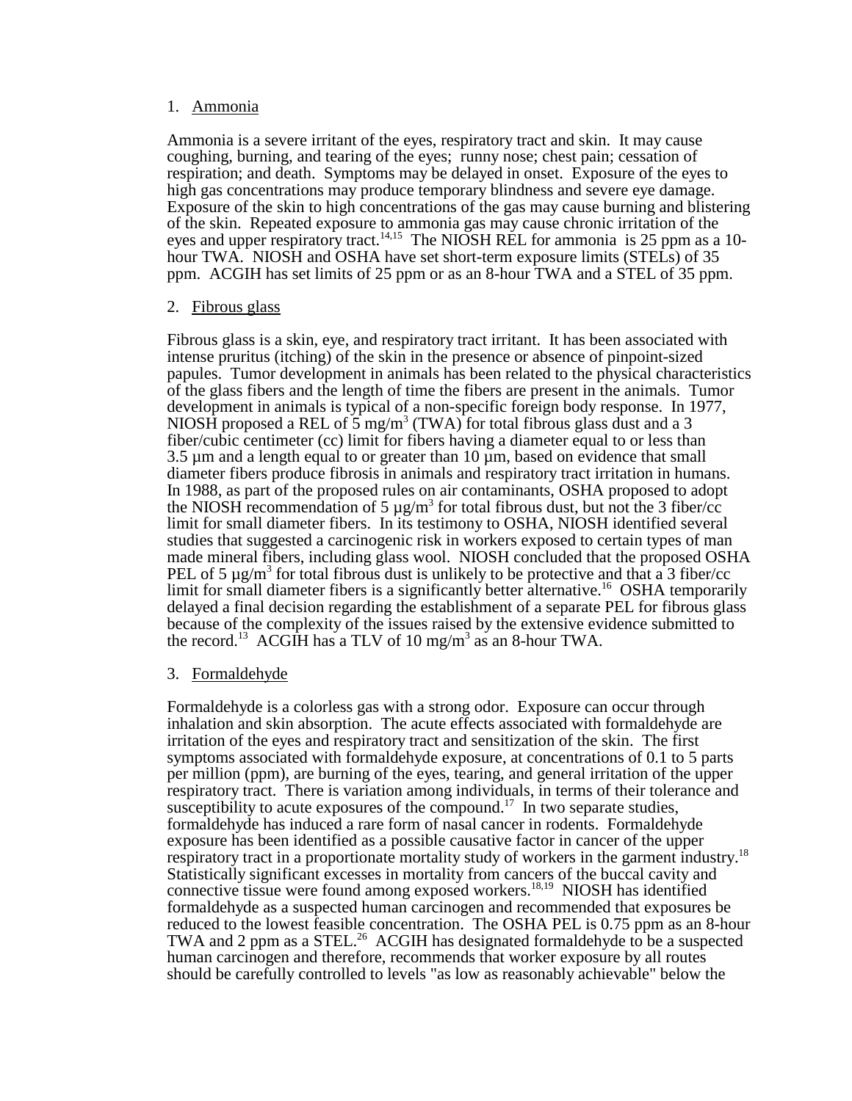#### 1. Ammonia

Ammonia is a severe irritant of the eyes, respiratory tract and skin. It may cause coughing, burning, and tearing of the eyes; runny nose; chest pain; cessation of respiration; and death. Symptoms may be delayed in onset. Exposure of the eyes to high gas concentrations may produce temporary blindness and severe eye damage. Exposure of the skin to high concentrations of the gas may cause burning and blistering of the skin. Repeated exposure to ammonia gas may cause chronic irritation of the eyes and upper respiratory tract.<sup>14,15</sup> The NIOSH REL for ammonia is 25 ppm as a 10hour TWA. NIOSH and OSHA have set short-term exposure limits (STELs) of 35 ppm. ACGIH has set limits of 25 ppm or as an 8-hour TWA and a STEL of 35 ppm.

#### 2. Fibrous glass

Fibrous glass is a skin, eye, and respiratory tract irritant. It has been associated with intense pruritus (itching) of the skin in the presence or absence of pinpoint-sized papules. Tumor development in animals has been related to the physical characteristics of the glass fibers and the length of time the fibers are present in the animals. Tumor development in animals is typical of a non-specific foreign body response. In 1977, NIOSH proposed a REL of  $\frac{5}{3}$  mg/m<sup>3</sup> (TWA) for total fibrous glass dust and a 3 fiber/cubic centimeter (cc) limit for fibers having a diameter equal to or less than 3.5 µm and a length equal to or greater than 10 µm, based on evidence that small diameter fibers produce fibrosis in animals and respiratory tract irritation in humans. In 1988, as part of the proposed rules on air contaminants, OSHA proposed to adopt the NIOSH recommendation of 5  $\mu$ g/m<sup>3</sup> for total fibrous dust, but not the 3 fiber/cc limit for small diameter fibers. In its testimony to OSHA, NIOSH identified several studies that suggested a carcinogenic risk in workers exposed to certain types of man made mineral fibers, including glass wool. NIOSH concluded that the proposed OSHA PEL of 5  $\mu$ g/m<sup>3</sup> for total fibrous dust is unlikely to be protective and that a 3 fiber/cc limit for small diameter fibers is a significantly better alternative.<sup>16</sup> OSHA temporarily delayed a final decision regarding the establishment of a separate PEL for fibrous glass because of the complexity of the issues raised by the extensive evidence submitted to the record.<sup>13</sup> ACGIH has a TLV of 10 mg/m<sup>3</sup> as an 8-hour TWA.

#### 3. Formaldehyde

 Formaldehyde is a colorless gas with a strong odor. Exposure can occur through inhalation and skin absorption. The acute effects associated with formaldehyde are irritation of the eyes and respiratory tract and sensitization of the skin. The first symptoms associated with formaldehyde exposure, at concentrations of 0.1 to 5 parts per million (ppm), are burning of the eyes, tearing, and general irritation of the upper respiratory tract. There is variation among individuals, in terms of their tolerance and susceptibility to acute exposures of the compound.<sup>17</sup> In two separate studies, formaldehyde has induced a rare form of nasal cancer in rodents. Formaldehyde exposure has been identified as a possible causative factor in cancer of the upper respiratory tract in a proportionate mortality study of workers in the garment industry.18 Statistically significant excesses in mortality from cancers of the buccal cavity and connective tissue were found among exposed workers.<sup>18,19</sup> NIOSH has identified formaldehyde as a suspected human carcinogen and recommended that exposures be reduced to the lowest feasible concentration. The OSHA PEL is 0.75 ppm as an 8-hour TWA and 2 ppm as a STEL.<sup>26</sup> ACGIH has designated formaldehyde to be a suspected human carcinogen and therefore, recommends that worker exposure by all routes should be carefully controlled to levels "as low as reasonably achievable" below the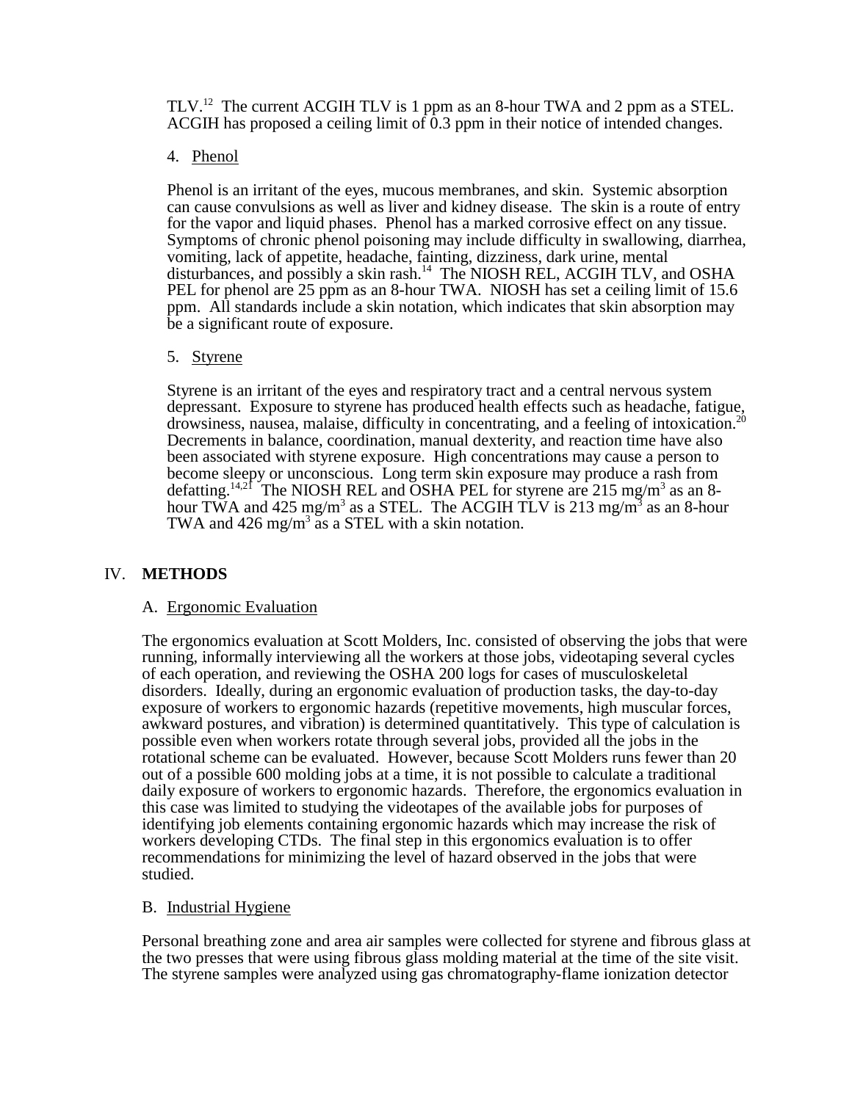TLV.12 The current ACGIH TLV is 1 ppm as an 8-hour TWA and 2 ppm as a STEL. ACGIH has proposed a ceiling limit of  $\tilde{0.3}$  ppm in their notice of intended changes.

### 4. Phenol

Phenol is an irritant of the eyes, mucous membranes, and skin. Systemic absorption can cause convulsions as well as liver and kidney disease. The skin is a route of entry for the vapor and liquid phases. Phenol has a marked corrosive effect on any tissue. Symptoms of chronic phenol poisoning may include difficulty in swallowing, diarrhea, vomiting, lack of appetite, headache, fainting, dizziness, dark urine, mental disturbances, and possibly a skin rash.14 The NIOSH REL, ACGIH TLV, and OSHA PEL for phenol are 25 ppm as an 8-hour TWA. NIOSH has set a ceiling limit of 15.6 ppm. All standards include a skin notation, which indicates that skin absorption may be a significant route of exposure.

#### 5. Styrene

 Styrene is an irritant of the eyes and respiratory tract and a central nervous system depressant. Exposure to styrene has produced health effects such as headache, fatigue, drowsiness, nausea, malaise, difficulty in concentrating, and a feeling of intoxication. Decrements in balance, coordination, manual dexterity, and reaction time have also been associated with styrene exposure. High concentrations may cause a person to become sleepy or unconscious. Long term skin exposure may produce a rash from defatting.<sup>14,21</sup> The NIOSH REL and OSHA PEL for styrene are 215 mg/m<sup>3</sup> as an 8hour TWA and 425 mg/m<sup>3</sup> as a STEL. The ACGIH TLV is 213 mg/m<sup>3</sup> as an 8-hour TWA and  $426 \text{ mg/m}^3$  as a STEL with a skin notation.

## IV. **METHODS**

## A. Ergonomic Evaluation

 The ergonomics evaluation at Scott Molders, Inc. consisted of observing the jobs that were running, informally interviewing all the workers at those jobs, videotaping several cycles of each operation, and reviewing the OSHA 200 logs for cases of musculoskeletal disorders. Ideally, during an ergonomic evaluation of production tasks, the day-to-day exposure of workers to ergonomic hazards (repetitive movements, high muscular forces, awkward postures, and vibration) is determined quantitatively. This type of calculation is possible even when workers rotate through several jobs, provided all the jobs in the rotational scheme can be evaluated. However, because Scott Molders runs fewer than 20 out of a possible 600 molding jobs at a time, it is not possible to calculate a traditional daily exposure of workers to ergonomic hazards. Therefore, the ergonomics evaluation in this case was limited to studying the videotapes of the available jobs for purposes of identifying job elements containing ergonomic hazards which may increase the risk of workers developing CTDs. The final step in this ergonomics evaluation is to offer recommendations for minimizing the level of hazard observed in the jobs that were studied.

#### B. Industrial Hygiene

 Personal breathing zone and area air samples were collected for styrene and fibrous glass at the two presses that were using fibrous glass molding material at the time of the site visit. The styrene samples were analyzed using gas chromatography-flame ionization detector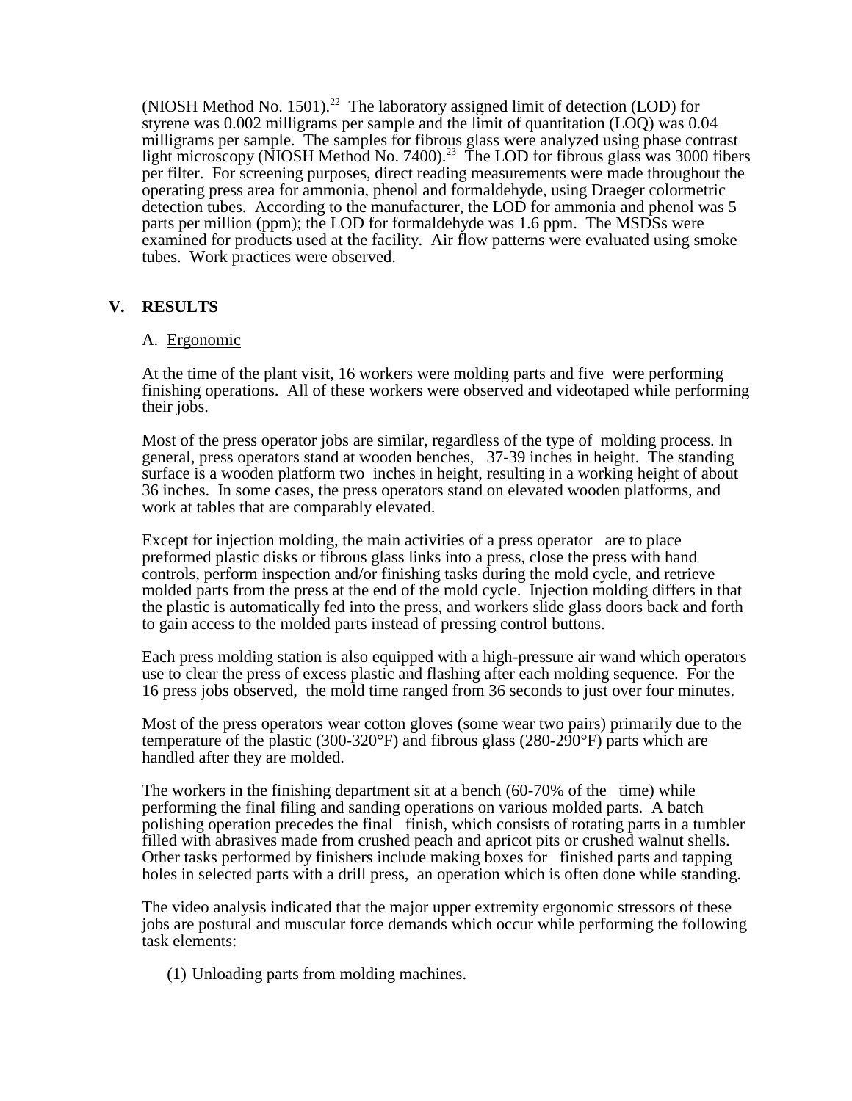(NIOSH Method No. 1501).<sup>22</sup> The laboratory assigned limit of detection (LOD) for styrene was 0.002 milligrams per sample and the limit of quantitation (LOQ) was 0.04 milligrams per sample. The samples for fibrous glass were analyzed using phase contrast light microscopy (NIOSH Method No. 7400).<sup>23</sup> The LOD for fibrous glass was 3000 fibers per filter. For screening purposes, direct reading measurements were made throughout the operating press area for ammonia, phenol and formaldehyde, using Draeger colormetric detection tubes. According to the manufacturer, the LOD for ammonia and phenol was 5 parts per million (ppm); the LOD for formaldehyde was 1.6 ppm. The MSDSs were examined for products used at the facility. Air flow patterns were evaluated using smoke tubes. Work practices were observed.

## **V. RESULTS**

#### A. Ergonomic

 At the time of the plant visit, 16 workers were molding parts and five were performing finishing operations. All of these workers were observed and videotaped while performing their jobs.

 Most of the press operator jobs are similar, regardless of the type of molding process. In general, press operators stand at wooden benches, 37-39 inches in height. The standing surface is a wooden platform two inches in height, resulting in a working height of about 36 inches. In some cases, the press operators stand on elevated wooden platforms, and work at tables that are comparably elevated.

 Except for injection molding, the main activities of a press operator are to place preformed plastic disks or fibrous glass links into a press, close the press with hand controls, perform inspection and/or finishing tasks during the mold cycle, and retrieve molded parts from the press at the end of the mold cycle. Injection molding differs in that the plastic is automatically fed into the press, and workers slide glass doors back and forth to gain access to the molded parts instead of pressing control buttons.

Each press molding station is also equipped with a high-pressure air wand which operators use to clear the press of excess plastic and flashing after each molding sequence. For the 16 press jobs observed, the mold time ranged from 36 seconds to just over four minutes.

Most of the press operators wear cotton gloves (some wear two pairs) primarily due to the temperature of the plastic (300-320°F) and fibrous glass (280-290°F) parts which are handled after they are molded.

The workers in the finishing department sit at a bench (60-70% of the time) while performing the final filing and sanding operations on various molded parts. A batch polishing operation precedes the final finish, which consists of rotating parts in a tumbler filled with abrasives made from crushed peach and apricot pits or crushed walnut shells. Other tasks performed by finishers include making boxes for finished parts and tapping holes in selected parts with a drill press, an operation which is often done while standing.

The video analysis indicated that the major upper extremity ergonomic stressors of these jobs are postural and muscular force demands which occur while performing the following task elements:

(1) Unloading parts from molding machines.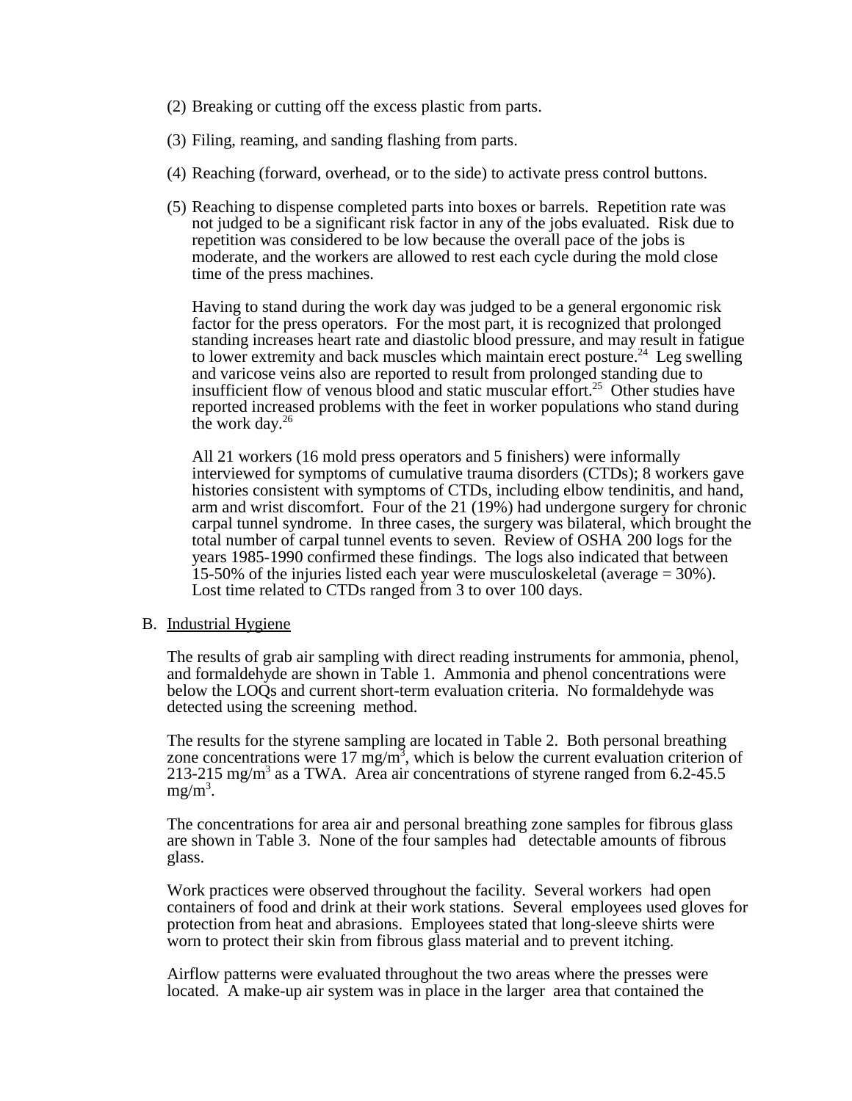- (2) Breaking or cutting off the excess plastic from parts.
- (3) Filing, reaming, and sanding flashing from parts.
- (4) Reaching (forward, overhead, or to the side) to activate press control buttons.
- (5) Reaching to dispense completed parts into boxes or barrels. Repetition rate was not judged to be a significant risk factor in any of the jobs evaluated. Risk due to repetition was considered to be low because the overall pace of the jobs is moderate, and the workers are allowed to rest each cycle during the mold close time of the press machines.

Having to stand during the work day was judged to be a general ergonomic risk factor for the press operators. For the most part, it is recognized that prolonged standing increases heart rate and diastolic blood pressure, and may result in fatigue to lower extremity and back muscles which maintain erect posture.<sup>24</sup> Leg swelling and varicose veins also are reported to result from prolonged standing due to insufficient flow of venous blood and static muscular effort.<sup>25</sup> Other studies have reported increased problems with the feet in worker populations who stand during the work day. $26$ 

All 21 workers (16 mold press operators and 5 finishers) were informally interviewed for symptoms of cumulative trauma disorders (CTDs); 8 workers gave histories consistent with symptoms of CTDs, including elbow tendinitis, and hand, arm and wrist discomfort. Four of the 21 (19%) had undergone surgery for chronic carpal tunnel syndrome. In three cases, the surgery was bilateral, which brought the total number of carpal tunnel events to seven. Review of OSHA 200 logs for the years 1985-1990 confirmed these findings. The logs also indicated that between 15-50% of the injuries listed each year were musculoskeletal (average = 30%). Lost time related to CTDs ranged from 3 to over 100 days.

#### B. Industrial Hygiene

The results of grab air sampling with direct reading instruments for ammonia, phenol, and formaldehyde are shown in Table 1. Ammonia and phenol concentrations were below the LOQs and current short-term evaluation criteria. No formaldehyde was detected using the screening method.

The results for the styrene sampling are located in Table 2. Both personal breathing zone concentrations were  $17 \text{ mg/m}^3$ , which is below the current evaluation criterion of 213-215 mg/m<sup>3</sup> as a TWA. Area air concentrations of styrene ranged from  $6.2$ -45.5  $mg/m^3$ .

The concentrations for area air and personal breathing zone samples for fibrous glass are shown in Table 3. None of the four samples had detectable amounts of fibrous glass.

Work practices were observed throughout the facility. Several workers had open containers of food and drink at their work stations. Several employees used gloves for protection from heat and abrasions. Employees stated that long-sleeve shirts were worn to protect their skin from fibrous glass material and to prevent itching.

Airflow patterns were evaluated throughout the two areas where the presses were located. A make-up air system was in place in the larger area that contained the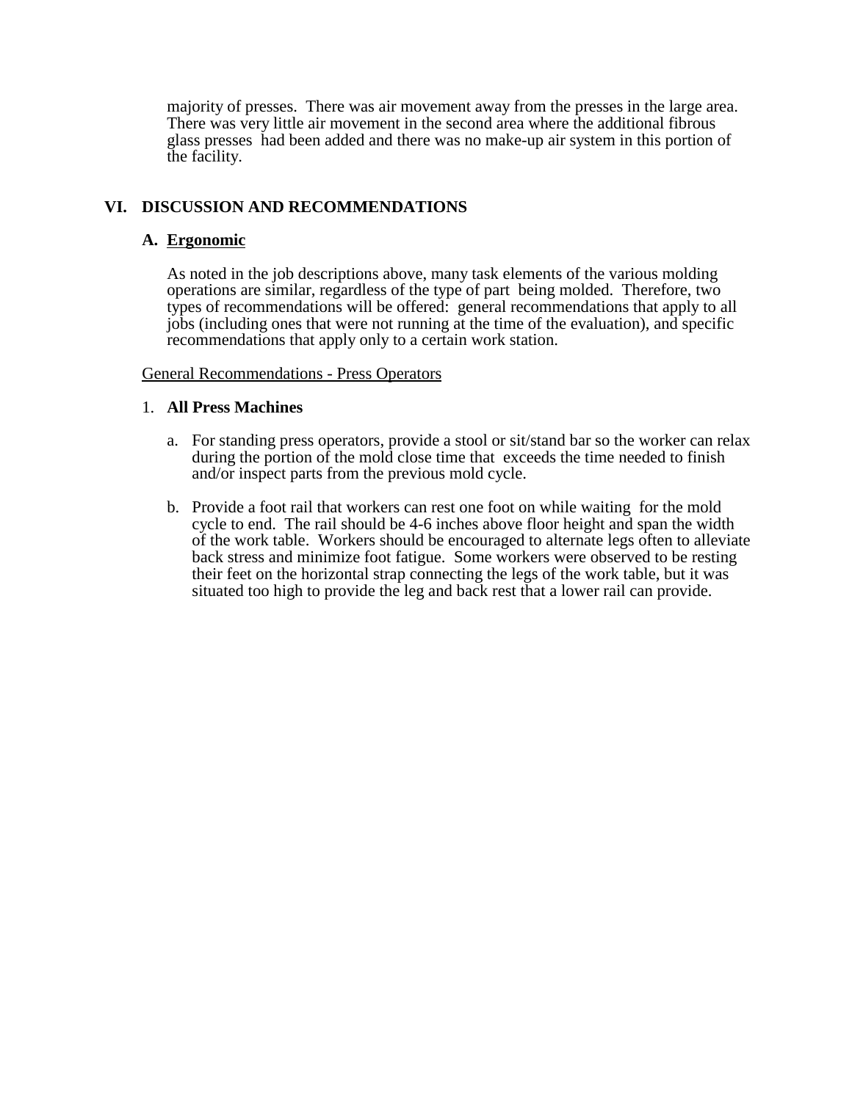majority of presses. There was air movement away from the presses in the large area. There was very little air movement in the second area where the additional fibrous glass presses had been added and there was no make-up air system in this portion of the facility.

## **VI. DISCUSSION AND RECOMMENDATIONS**

### **A. Ergonomic**

As noted in the job descriptions above, many task elements of the various molding operations are similar, regardless of the type of part being molded. Therefore, two types of recommendations will be offered: general recommendations that apply to all jobs (including ones that were not running at the time of the evaluation), and specific recommendations that apply only to a certain work station.

#### General Recommendations - Press Operators

#### 1. **All Press Machines**

- a. For standing press operators, provide a stool or sit/stand bar so the worker can relax during the portion of the mold close time that exceeds the time needed to finish and/or inspect parts from the previous mold cycle.
- b. Provide a foot rail that workers can rest one foot on while waiting for the mold cycle to end. The rail should be 4-6 inches above floor height and span the width of the work table. Workers should be encouraged to alternate legs often to alleviate back stress and minimize foot fatigue. Some workers were observed to be resting their feet on the horizontal strap connecting the legs of the work table, but it was situated too high to provide the leg and back rest that a lower rail can provide.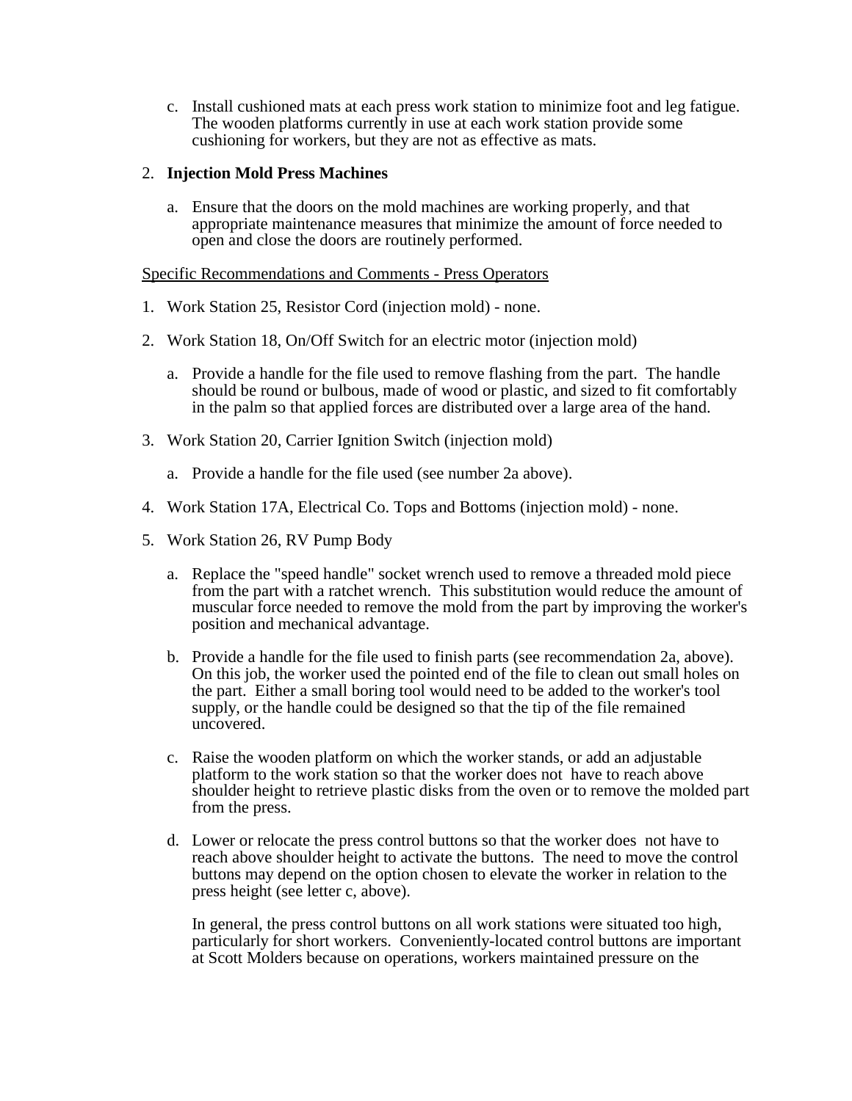c. Install cushioned mats at each press work station to minimize foot and leg fatigue. The wooden platforms currently in use at each work station provide some cushioning for workers, but they are not as effective as mats.

### 2. **Injection Mold Press Machines**

a. Ensure that the doors on the mold machines are working properly, and that appropriate maintenance measures that minimize the amount of force needed to open and close the doors are routinely performed.

#### Specific Recommendations and Comments - Press Operators

- 1. Work Station 25, Resistor Cord (injection mold) none.
- 2. Work Station 18, On/Off Switch for an electric motor (injection mold)
	- a. Provide a handle for the file used to remove flashing from the part. The handle should be round or bulbous, made of wood or plastic, and sized to fit comfortably in the palm so that applied forces are distributed over a large area of the hand.
- 3. Work Station 20, Carrier Ignition Switch (injection mold)
	- a. Provide a handle for the file used (see number 2a above).
- 4. Work Station 17A, Electrical Co. Tops and Bottoms (injection mold) none.
- 5. Work Station 26, RV Pump Body
	- a. Replace the "speed handle" socket wrench used to remove a threaded mold piece from the part with a ratchet wrench. This substitution would reduce the amount of muscular force needed to remove the mold from the part by improving the worker's position and mechanical advantage.
	- b. Provide a handle for the file used to finish parts (see recommendation 2a, above). On this job, the worker used the pointed end of the file to clean out small holes on the part. Either a small boring tool would need to be added to the worker's tool supply, or the handle could be designed so that the tip of the file remained uncovered.
	- c. Raise the wooden platform on which the worker stands, or add an adjustable platform to the work station so that the worker does not have to reach above shoulder height to retrieve plastic disks from the oven or to remove the molded part from the press.
	- d. Lower or relocate the press control buttons so that the worker does not have to reach above shoulder height to activate the buttons. The need to move the control buttons may depend on the option chosen to elevate the worker in relation to the press height (see letter c, above).

In general, the press control buttons on all work stations were situated too high, particularly for short workers. Conveniently-located control buttons are important at Scott Molders because on operations, workers maintained pressure on the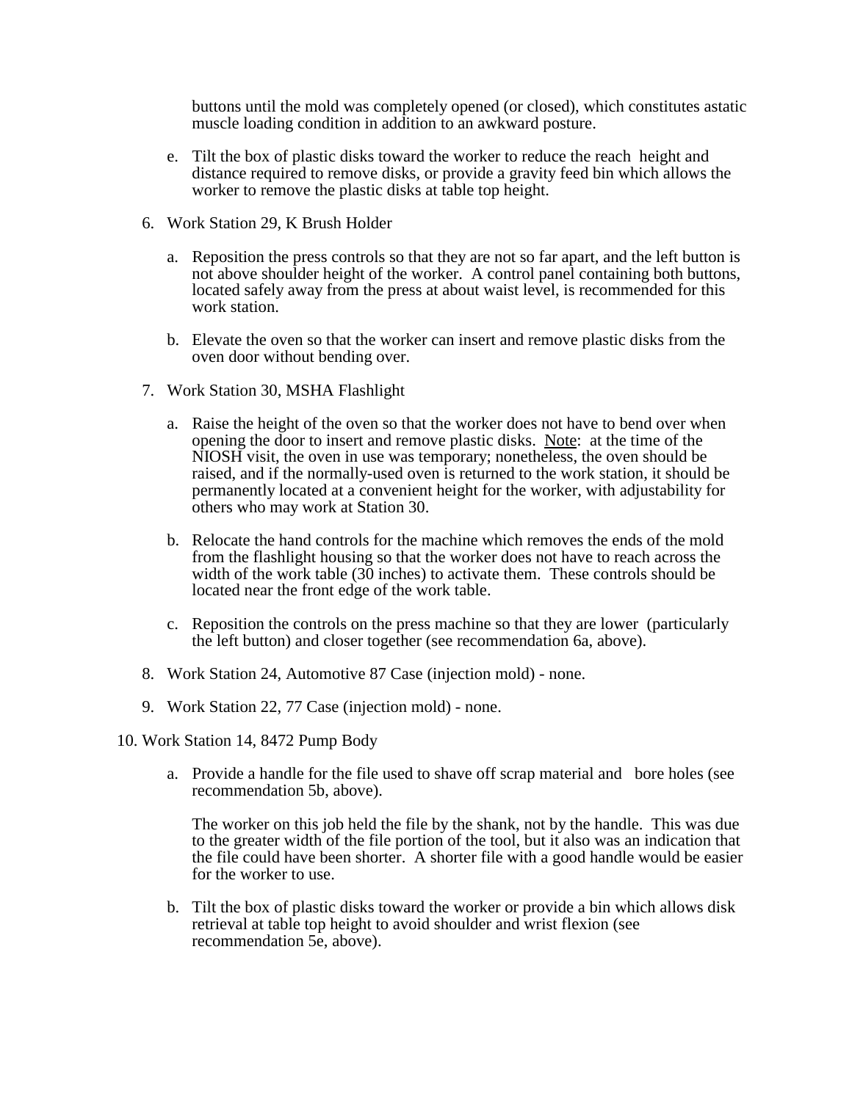buttons until the mold was completely opened (or closed), which constitutes astatic muscle loading condition in addition to an awkward posture.

- e. Tilt the box of plastic disks toward the worker to reduce the reach height and distance required to remove disks, or provide a gravity feed bin which allows the worker to remove the plastic disks at table top height.
- 6. Work Station 29, K Brush Holder
	- a. Reposition the press controls so that they are not so far apart, and the left button is not above shoulder height of the worker. A control panel containing both buttons, located safely away from the press at about waist level, is recommended for this work station.
	- b. Elevate the oven so that the worker can insert and remove plastic disks from the oven door without bending over.
- 7. Work Station 30, MSHA Flashlight
	- a. Raise the height of the oven so that the worker does not have to bend over when opening the door to insert and remove plastic disks. Note: at the time of the NIOSH visit, the oven in use was temporary; nonetheless, the oven should be raised, and if the normally-used oven is returned to the work station, it should be permanently located at a convenient height for the worker, with adjustability for others who may work at Station 30.
	- b. Relocate the hand controls for the machine which removes the ends of the mold from the flashlight housing so that the worker does not have to reach across the width of the work table (30 inches) to activate them. These controls should be located near the front edge of the work table.
	- c. Reposition the controls on the press machine so that they are lower (particularly the left button) and closer together (see recommendation 6a, above).
- 8. Work Station 24, Automotive 87 Case (injection mold) none.
- 9. Work Station 22, 77 Case (injection mold) none.
- 10. Work Station 14, 8472 Pump Body
	- a. Provide a handle for the file used to shave off scrap material and bore holes (see recommendation 5b, above).

The worker on this job held the file by the shank, not by the handle. This was due to the greater width of the file portion of the tool, but it also was an indication that the file could have been shorter. A shorter file with a good handle would be easier for the worker to use.

b. Tilt the box of plastic disks toward the worker or provide a bin which allows disk retrieval at table top height to avoid shoulder and wrist flexion (see recommendation 5e, above).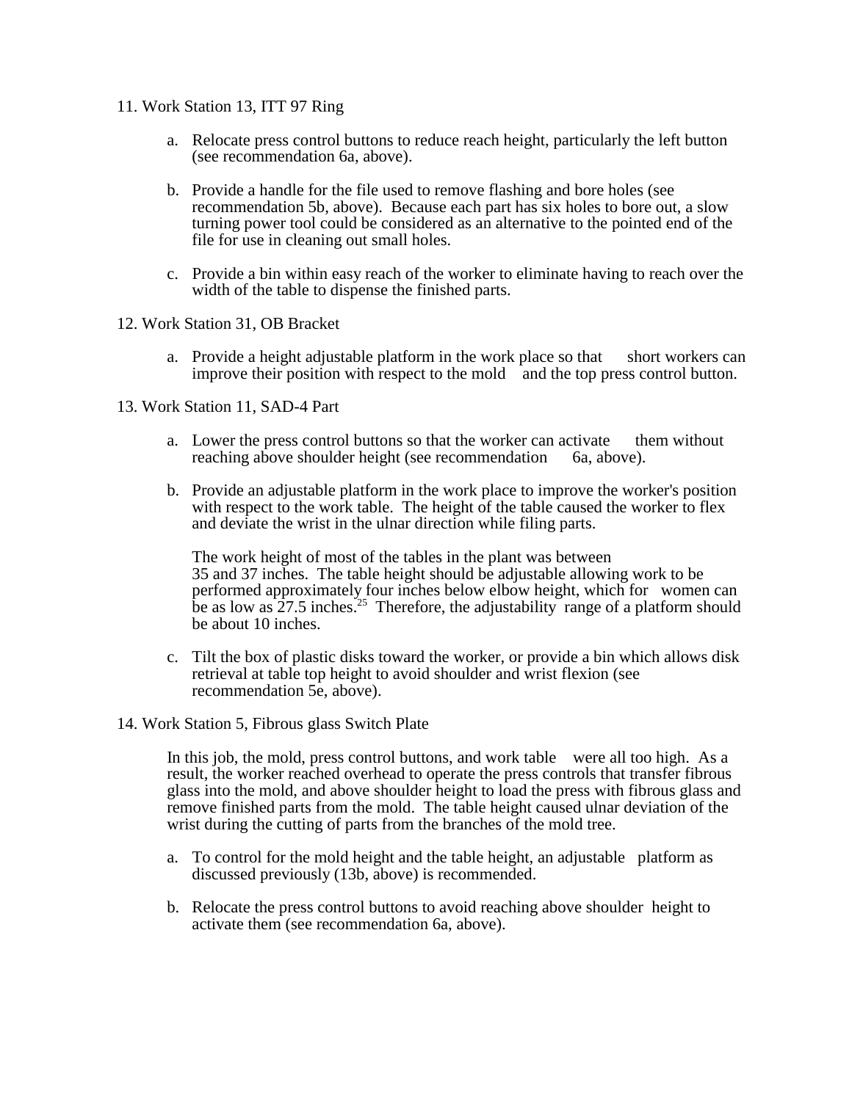- 11. Work Station 13, ITT 97 Ring
	- a. Relocate press control buttons to reduce reach height, particularly the left button (see recommendation 6a, above).
	- b. Provide a handle for the file used to remove flashing and bore holes (see recommendation 5b, above). Because each part has six holes to bore out, a slow turning power tool could be considered as an alternative to the pointed end of the file for use in cleaning out small holes.
	- c. Provide a bin within easy reach of the worker to eliminate having to reach over the width of the table to dispense the finished parts.
- 12. Work Station 31, OB Bracket
	- a. Provide a height adjustable platform in the work place so that short workers can improve their position with respect to the mold and the top press control button.
- 13. Work Station 11, SAD-4 Part
	- a. Lower the press control buttons so that the worker can activate them without reaching above shoulder height (see recommendation 6a, above).
	- b. Provide an adjustable platform in the work place to improve the worker's position with respect to the work table. The height of the table caused the worker to flex and deviate the wrist in the ulnar direction while filing parts.

The work height of most of the tables in the plant was between 35 and 37 inches. The table height should be adjustable allowing work to be performed approximately four inches below elbow height, which for women can be as low as  $27.5$  inches.<sup>25</sup> Therefore, the adjustability range of a platform should be about 10 inches.

- c. Tilt the box of plastic disks toward the worker, or provide a bin which allows disk retrieval at table top height to avoid shoulder and wrist flexion (see recommendation 5e, above).
- 14. Work Station 5, Fibrous glass Switch Plate

In this job, the mold, press control buttons, and work table were all too high. As a result, the worker reached overhead to operate the press controls that transfer fibrous glass into the mold, and above shoulder height to load the press with fibrous glass and remove finished parts from the mold. The table height caused ulnar deviation of the wrist during the cutting of parts from the branches of the mold tree.

- a. To control for the mold height and the table height, an adjustable platform as discussed previously (13b, above) is recommended.
- b. Relocate the press control buttons to avoid reaching above shoulder height to activate them (see recommendation 6a, above).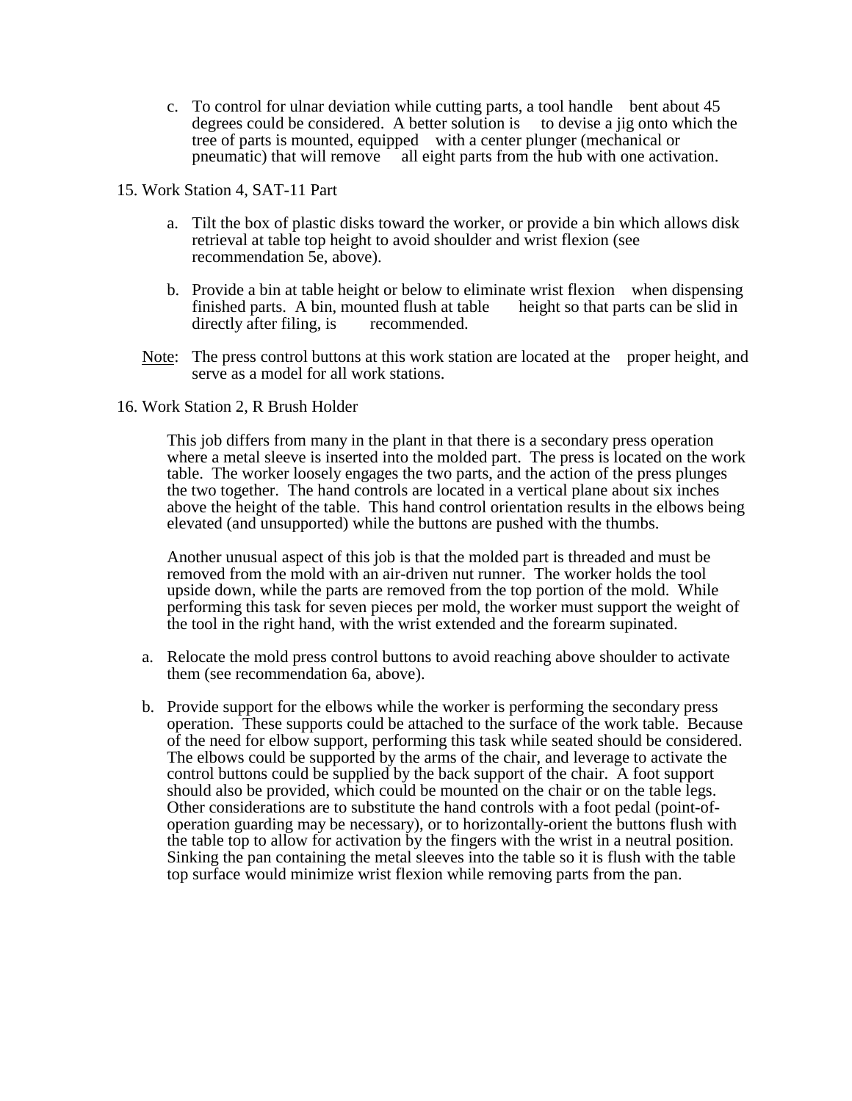c. To control for ulnar deviation while cutting parts, a tool handle bent about 45 degrees could be considered. A better solution is to devise a jig onto which the tree of parts is mounted, equipped with a center plunger (mechanical or pneumatic) that will remove all eight parts from the hub with one activation.

15. Work Station 4, SAT-11 Part

- a. Tilt the box of plastic disks toward the worker, or provide a bin which allows disk retrieval at table top height to avoid shoulder and wrist flexion (see recommendation 5e, above).
- b. Provide a bin at table height or below to eliminate wrist flexion when dispensing finished parts. A bin, mounted flush at table height so that parts can be slid in directly after filing, is recommended.
- Note: The press control buttons at this work station are located at the proper height, and serve as a model for all work stations.
- 16. Work Station 2, R Brush Holder

This job differs from many in the plant in that there is a secondary press operation where a metal sleeve is inserted into the molded part. The press is located on the work table. The worker loosely engages the two parts, and the action of the press plunges the two together. The hand controls are located in a vertical plane about six inches above the height of the table. This hand control orientation results in the elbows being elevated (and unsupported) while the buttons are pushed with the thumbs.

Another unusual aspect of this job is that the molded part is threaded and must be removed from the mold with an air-driven nut runner. The worker holds the tool upside down, while the parts are removed from the top portion of the mold. While performing this task for seven pieces per mold, the worker must support the weight of the tool in the right hand, with the wrist extended and the forearm supinated.

- a. Relocate the mold press control buttons to avoid reaching above shoulder to activate them (see recommendation 6a, above).
- b. Provide support for the elbows while the worker is performing the secondary press operation. These supports could be attached to the surface of the work table. Because of the need for elbow support, performing this task while seated should be considered. The elbows could be supported by the arms of the chair, and leverage to activate the control buttons could be supplied by the back support of the chair. A foot support should also be provided, which could be mounted on the chair or on the table legs. Other considerations are to substitute the hand controls with a foot pedal (point-ofoperation guarding may be necessary), or to horizontally-orient the buttons flush with the table top to allow for activation by the fingers with the wrist in a neutral position. Sinking the pan containing the metal sleeves into the table so it is flush with the table top surface would minimize wrist flexion while removing parts from the pan.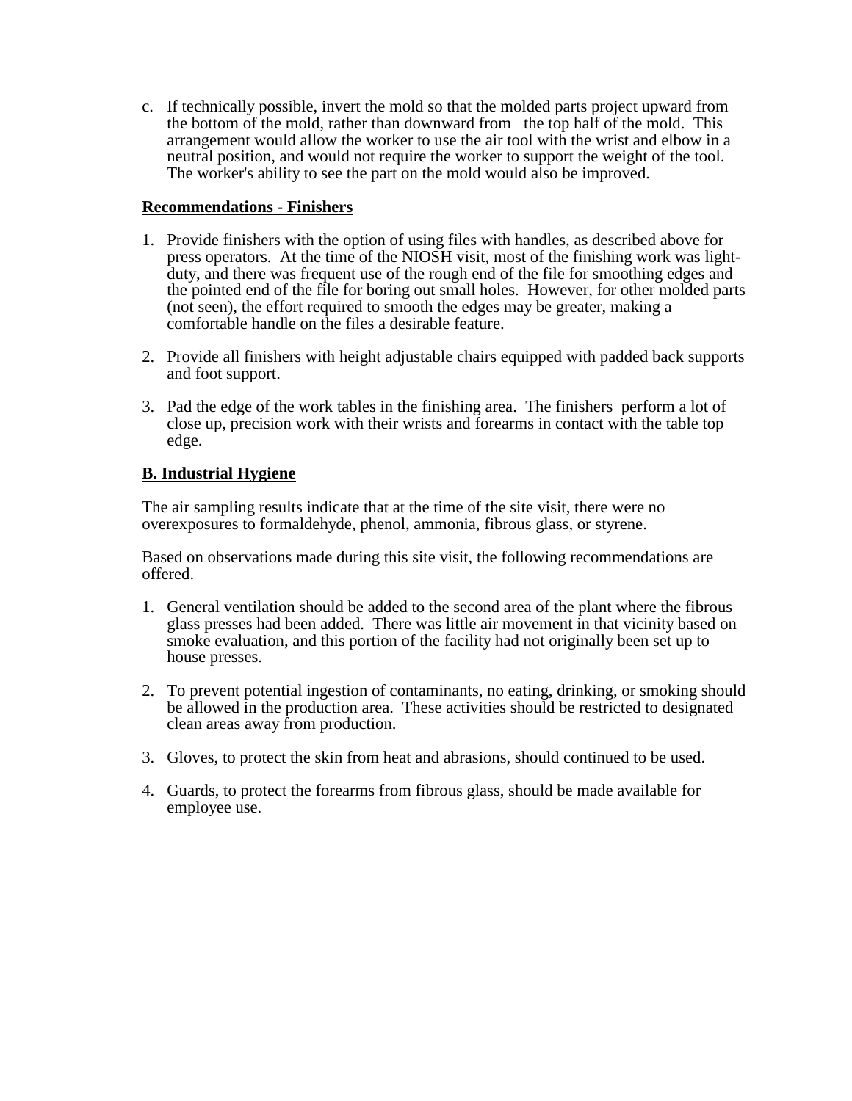c. If technically possible, invert the mold so that the molded parts project upward from the bottom of the mold, rather than downward from the top half of the mold. This arrangement would allow the worker to use the air tool with the wrist and elbow in a neutral position, and would not require the worker to support the weight of the tool. The worker's ability to see the part on the mold would also be improved.

### **Recommendations - Finishers**

- 1. Provide finishers with the option of using files with handles, as described above for press operators. At the time of the NIOSH visit, most of the finishing work was lightduty, and there was frequent use of the rough end of the file for smoothing edges and the pointed end of the file for boring out small holes. However, for other molded parts (not seen), the effort required to smooth the edges may be greater, making a comfortable handle on the files a desirable feature.
- 2. Provide all finishers with height adjustable chairs equipped with padded back supports and foot support.
- 3. Pad the edge of the work tables in the finishing area. The finishers perform a lot of close up, precision work with their wrists and forearms in contact with the table top edge.

## **B. Industrial Hygiene**

The air sampling results indicate that at the time of the site visit, there were no overexposures to formaldehyde, phenol, ammonia, fibrous glass, or styrene.

Based on observations made during this site visit, the following recommendations are offered.

- 1. General ventilation should be added to the second area of the plant where the fibrous glass presses had been added. There was little air movement in that vicinity based on smoke evaluation, and this portion of the facility had not originally been set up to house presses.
- 2. To prevent potential ingestion of contaminants, no eating, drinking, or smoking should be allowed in the production area. These activities should be restricted to designated clean areas away from production.
- 3. Gloves, to protect the skin from heat and abrasions, should continued to be used.
- 4. Guards, to protect the forearms from fibrous glass, should be made available for employee use.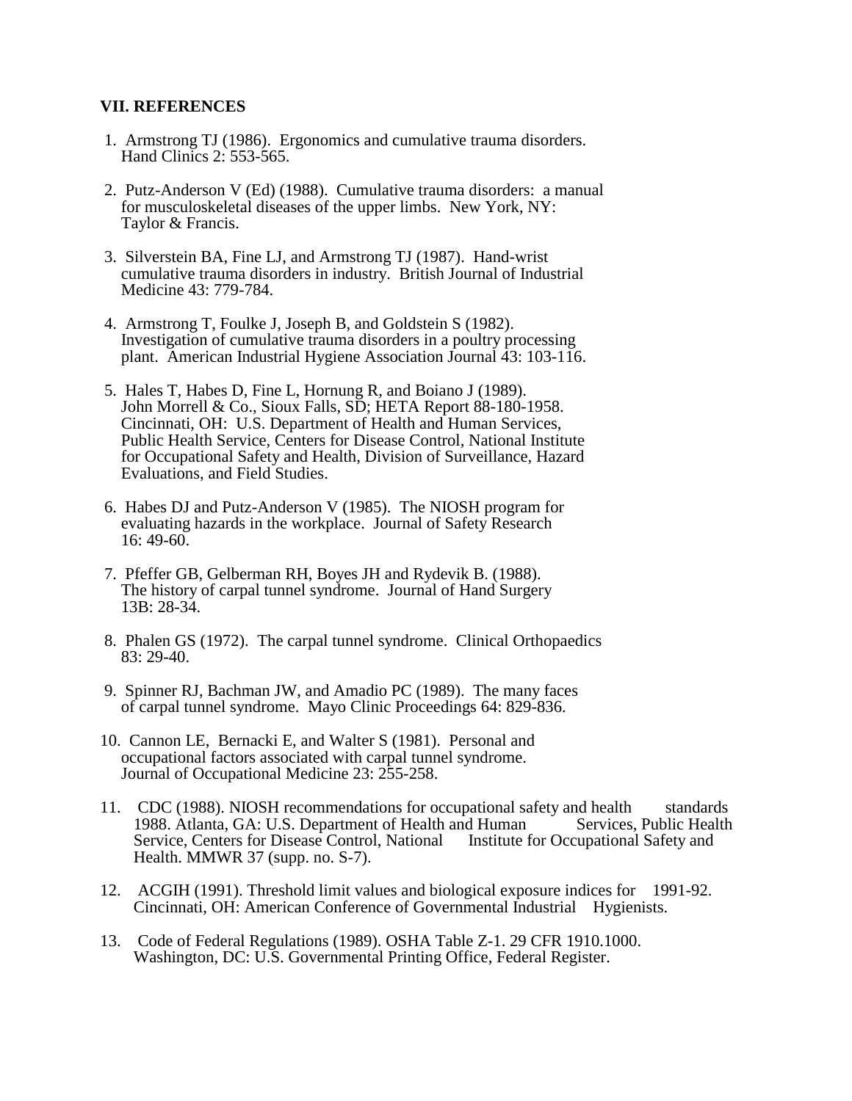### **VII. REFERENCES**

- 1. Armstrong TJ (1986). Ergonomics and cumulative trauma disorders. Hand Clinics 2: 553-565.
- 2. Putz-Anderson V (Ed) (1988). Cumulative trauma disorders: a manual for musculoskeletal diseases of the upper limbs. New York, NY: Taylor & Francis.
- 3. Silverstein BA, Fine LJ, and Armstrong TJ (1987). Hand-wrist cumulative trauma disorders in industry. British Journal of Industrial Medicine 43: 779-784.
- 4. Armstrong T, Foulke J, Joseph B, and Goldstein S (1982). Investigation of cumulative trauma disorders in a poultry processing plant. American Industrial Hygiene Association Journal 43: 103-116.
- 5. Hales T, Habes D, Fine L, Hornung R, and Boiano J (1989). John Morrell & Co., Sioux Falls, SD; HETA Report 88-180-1958. Cincinnati, OH: U.S. Department of Health and Human Services, Public Health Service, Centers for Disease Control, National Institute for Occupational Safety and Health, Division of Surveillance, Hazard Evaluations, and Field Studies.
- 6. Habes DJ and Putz-Anderson V (1985). The NIOSH program for evaluating hazards in the workplace. Journal of Safety Research 16: 49-60.
- 7. Pfeffer GB, Gelberman RH, Boyes JH and Rydevik B. (1988). The history of carpal tunnel syndrome. Journal of Hand Surgery 13B: 28-34.
- 8. Phalen GS (1972). The carpal tunnel syndrome. Clinical Orthopaedics 83: 29-40.
- 9. Spinner RJ, Bachman JW, and Amadio PC (1989). The many faces of carpal tunnel syndrome. Mayo Clinic Proceedings 64: 829-836.
- 10. Cannon LE, Bernacki E, and Walter S (1981). Personal and occupational factors associated with carpal tunnel syndrome. Journal of Occupational Medicine 23: 255-258.
- 11. CDC (1988). NIOSH recommendations for occupational safety and health standards 1988. Atlanta, GA: U.S. Department of Health and Human Services, Public Health Service, Centers for Disease Control, National Institute for Occupational Safety and Health. MMWR 37 (supp. no. S-7).
- 12. ACGIH (1991). Threshold limit values and biological exposure indices for 1991-92. Cincinnati, OH: American Conference of Governmental Industrial Hygienists.
- 13. Code of Federal Regulations (1989). OSHA Table Z-1. 29 CFR 1910.1000. Washington, DC: U.S. Governmental Printing Office, Federal Register.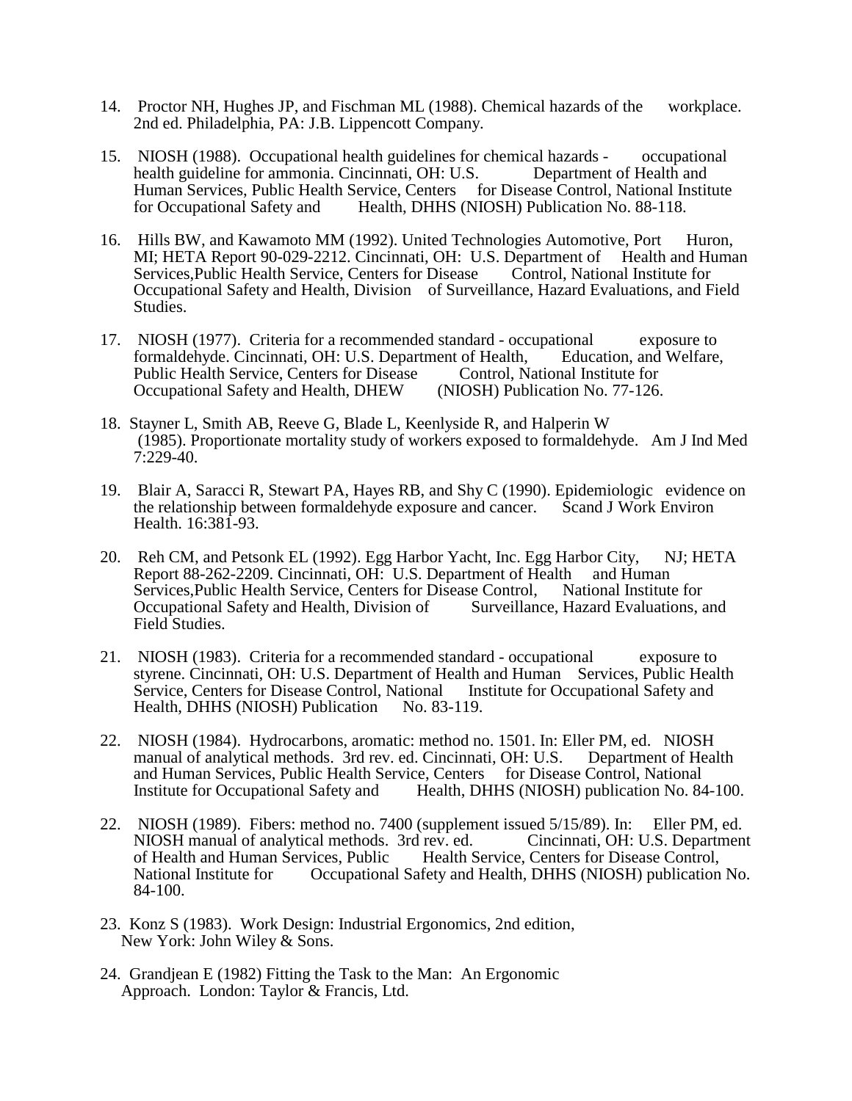- 14. Proctor NH, Hughes JP, and Fischman ML (1988). Chemical hazards of the workplace. 2nd ed. Philadelphia, PA: J.B. Lippencott Company.
- 15. NIOSH (1988). Occupational health guidelines for chemical hazards occupational health guideline for ammonia. Cincinnati, OH: U.S. Department of Health and Human Services, Public Health Service, Centers for Disease Control, National Institute for Occupational Safety and Health, DHHS (NIOSH) Publication No. 88-118.
- 16. Hills BW, and Kawamoto MM (1992). United Technologies Automotive, Port Huron, MI; HETA Report 90-029-2212. Cincinnati, OH: U.S. Department of Health and Human Services,Public Health Service, Centers for Disease Control, National Institute for Occupational Safety and Health, Division of Surveillance, Hazard Evaluations, and Field Studies.
- 17. NIOSH (1977). Criteria for a recommended standard occupational exposure to formaldehyde. Cincinnati, OH: U.S. Department of Health, Education, and Welfare, Public Health Service, Centers for Disease Control, National Institute for Occupational Safety and Health, DHEW (NIOSH) Publication No. 77-126.
- 18. Stayner L, Smith AB, Reeve G, Blade L, Keenlyside R, and Halperin W (1985). Proportionate mortality study of workers exposed to formaldehyde. Am J Ind Med 7:229-40.
- 19. Blair A, Saracci R, Stewart PA, Hayes RB, and Shy C (1990). Epidemiologic evidence on the relationship between formaldehyde exposure and cancer. Scand J Work Environ Health. 16:381-93.
- 20. Reh CM, and Petsonk EL (1992). Egg Harbor Yacht, Inc. Egg Harbor City, NJ; HETA Report 88-262-2209. Cincinnati, OH: U.S. Department of Health and Human Services,Public Health Service, Centers for Disease Control, National Institute for Occupational Safety and Health, Division of Surveillance, Hazard Evaluations, and Field Studies.
- 21. NIOSH (1983). Criteria for a recommended standard occupational exposure to styrene. Cincinnati, OH: U.S. Department of Health and Human Services, Public Health Service, Centers for Disease Control, National Institute for Occupational Safety and Health, DHHS (NIOSH) Publication No. 83-119.
- 22. NIOSH (1984). Hydrocarbons, aromatic: method no. 1501. In: Eller PM, ed. NIOSH manual of analytical methods. 3rd rev. ed. Cincinnati, OH: U.S. Department of Health and Human Services, Public Health Service, Centers for Disease Control, National Institute for Occupational Safety and Health, DHHS (NIOSH) publication No. 84-100.
- 22. NIOSH (1989). Fibers: method no. 7400 (supplement issued 5/15/89). In: Eller PM, ed. NIOSH manual of analytical methods. 3rd rev. ed. Cincinnati, OH: U.S. Department of Health and Human Services, Public Health Service, Centers for Disease Control, National Institute for Occupational Safety and Health, DHHS (NIOSH) publication No. 84-100.
- 23. Konz S (1983). Work Design: Industrial Ergonomics, 2nd edition, New York: John Wiley & Sons.
- 24. Grandjean E (1982) Fitting the Task to the Man: An Ergonomic Approach. London: Taylor & Francis, Ltd.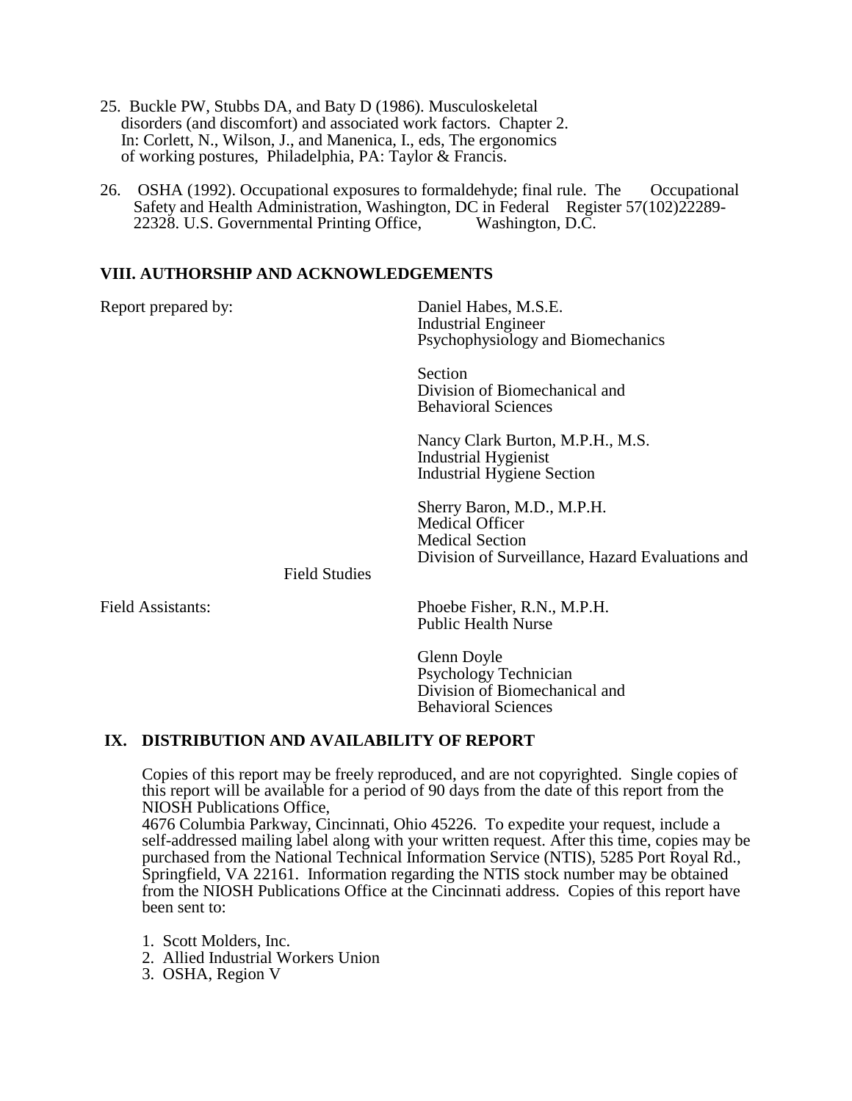- 25. Buckle PW, Stubbs DA, and Baty D (1986). Musculoskeletal disorders (and discomfort) and associated work factors. Chapter 2. In: Corlett, N., Wilson, J., and Manenica, I., eds, The ergonomics of working postures, Philadelphia, PA: Taylor & Francis.
- 26. OSHA (1992). Occupational exposures to formaldehyde; final rule. The Occupational Safety and Health Administration, Washington, DC in Federal Register 57(102)22289-22328. U.S. Governmental Printing Office, Washington, D.C.

### **VIII. AUTHORSHIP AND ACKNOWLEDGEMENTS**

| Report prepared by:      |                      | Daniel Habes, M.S.E.<br><b>Industrial Engineer</b><br>Psychophysiology and Biomechanics                                            |
|--------------------------|----------------------|------------------------------------------------------------------------------------------------------------------------------------|
|                          |                      | Section<br>Division of Biomechanical and<br><b>Behavioral Sciences</b>                                                             |
|                          |                      | Nancy Clark Burton, M.P.H., M.S.<br>Industrial Hygienist<br>Industrial Hygiene Section                                             |
|                          | <b>Field Studies</b> | Sherry Baron, M.D., M.P.H.<br><b>Medical Officer</b><br><b>Medical Section</b><br>Division of Surveillance, Hazard Evaluations and |
| <b>Field Assistants:</b> |                      | Phoebe Fisher, R.N., M.P.H.<br><b>Public Health Nurse</b>                                                                          |
|                          |                      | Glenn Doyle<br>Psychology Technician<br>Division of Biomechanical and                                                              |

## **IX. DISTRIBUTION AND AVAILABILITY OF REPORT**

Copies of this report may be freely reproduced, and are not copyrighted. Single copies of this report will be available for a period of 90 days from the date of this report from the NIOSH Publications Office,

Behavioral Sciences

4676 Columbia Parkway, Cincinnati, Ohio 45226. To expedite your request, include a self-addressed mailing label along with your written request. After this time, copies may be purchased from the National Technical Information Service (NTIS), 5285 Port Royal Rd., Springfield, VA 22161. Information regarding the NTIS stock number may be obtained from the NIOSH Publications Office at the Cincinnati address. Copies of this report have been sent to:

1. Scott Molders, Inc.

2. Allied Industrial Workers Union

3. OSHA, Region V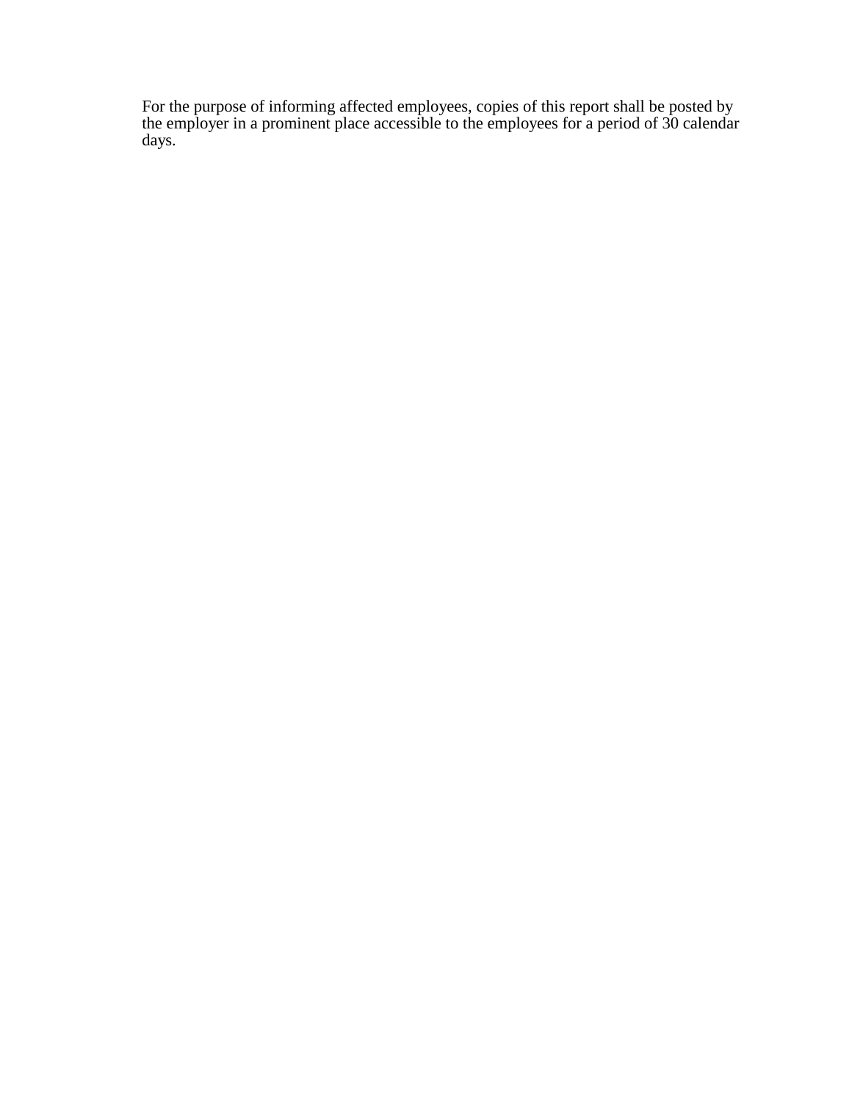For the purpose of informing affected employees, copies of this report shall be posted by the employer in a prominent place accessible to the employees for a period of 30 calendar days.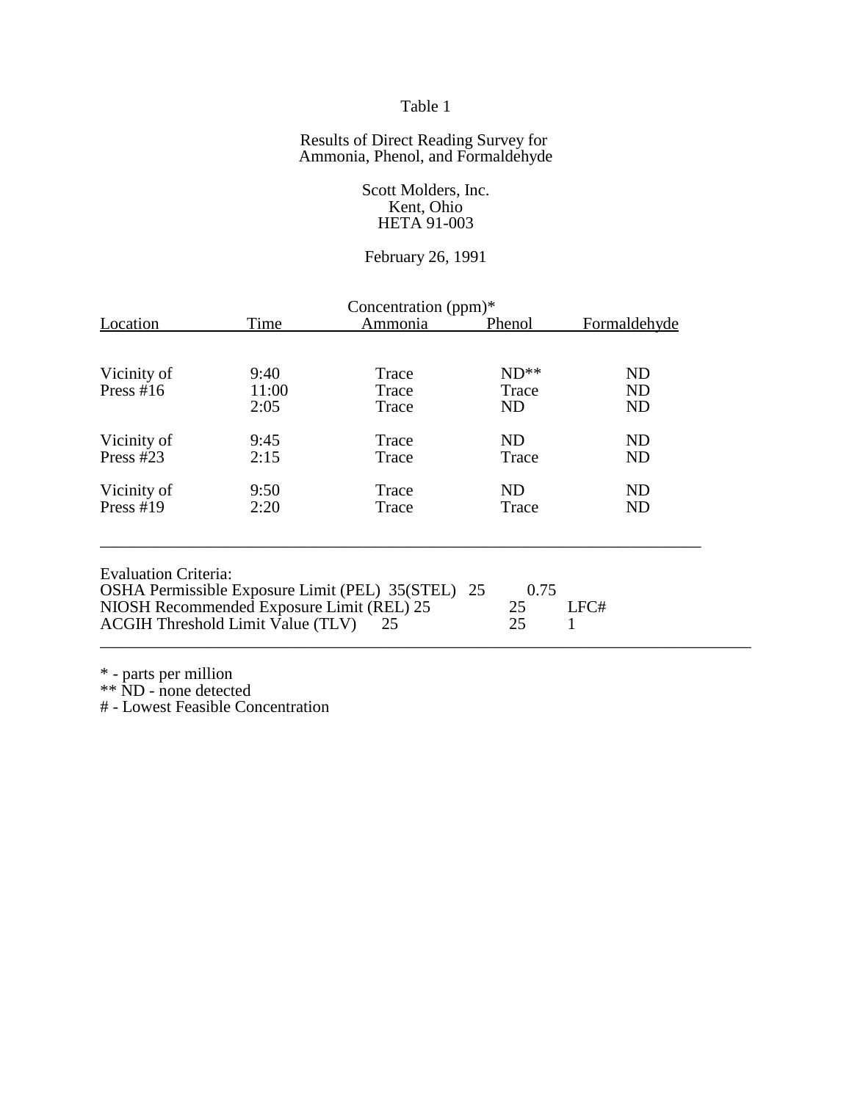### Table 1

#### Results of Direct Reading Survey for Ammonia, Phenol, and Formaldehyde

Scott Molders, Inc. Kent, Ohio HETA 91-003

# February 26, 1991

| Concentration (ppm)*                                                                  |       |                                                   |          |              |  |  |
|---------------------------------------------------------------------------------------|-------|---------------------------------------------------|----------|--------------|--|--|
| Location                                                                              | Time  | Ammonia                                           | Phenol   | Formaldehyde |  |  |
|                                                                                       |       |                                                   |          |              |  |  |
| Vicinity of                                                                           | 9:40  | Trace                                             | $ND**$   | ND           |  |  |
| Press #16                                                                             | 11:00 | Trace                                             | Trace    | ND           |  |  |
|                                                                                       | 2:05  | Trace                                             | ND       | ND           |  |  |
|                                                                                       |       |                                                   |          |              |  |  |
| Vicinity of                                                                           | 9:45  | Trace                                             | ND       | ND           |  |  |
| Press $#23$                                                                           | 2:15  | Trace                                             | Trace    | ND           |  |  |
| Vicinity of                                                                           | 9:50  | Trace                                             | ND       | ND           |  |  |
| Press $#19$                                                                           | 2:20  | Trace                                             | Trace    | ND           |  |  |
| <b>Evaluation Criteria:</b>                                                           |       | OSHA Permissible Exposure Limit (PEL) 35(STEL) 25 | 0.75     |              |  |  |
| NIOSH Recommended Exposure Limit (REL) 25<br><b>ACGIH Threshold Limit Value (TLV)</b> |       | 25                                                | 25<br>25 | LFC#         |  |  |

\* - parts per million

\*\* ND - none detected

# - Lowest Feasible Concentration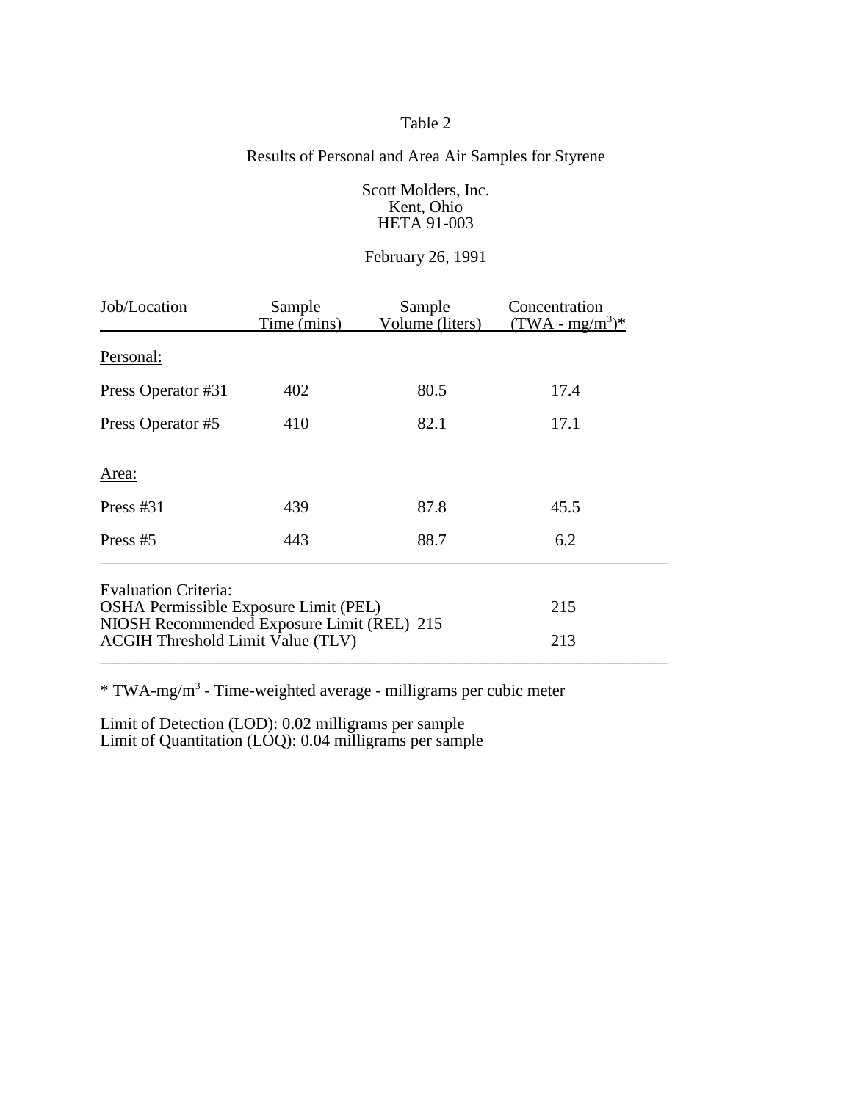## Table 2

## Results of Personal and Area Air Samples for Styrene

Scott Molders, Inc. Kent, Ohio HETA 91-003

## February 26, 1991

| Job/Location                                                                        | Sample<br>Time (mins) | Sample<br>Volume (liters) | Concentration<br>$(TWA - mg/m3)*$ |
|-------------------------------------------------------------------------------------|-----------------------|---------------------------|-----------------------------------|
| Personal:                                                                           |                       |                           |                                   |
| Press Operator #31                                                                  | 402                   | 80.5                      | 17.4                              |
| Press Operator #5                                                                   | 410                   | 82.1                      | 17.1                              |
| Area:                                                                               |                       |                           |                                   |
| Press $#31$                                                                         | 439                   | 87.8                      | 45.5                              |
| Press $#5$                                                                          | 443                   | 88.7                      | 6.2                               |
| <b>Evaluation Criteria:</b>                                                         |                       |                           |                                   |
| OSHA Permissible Exposure Limit (PEL)<br>NIOSH Recommended Exposure Limit (REL) 215 | 215                   |                           |                                   |
| <b>ACGIH Threshold Limit Value (TLV)</b>                                            | 213                   |                           |                                   |

\* TWA-mg/m3 - Time-weighted average - milligrams per cubic meter

Limit of Detection (LOD): 0.02 milligrams per sample Limit of Quantitation (LOQ): 0.04 milligrams per sample